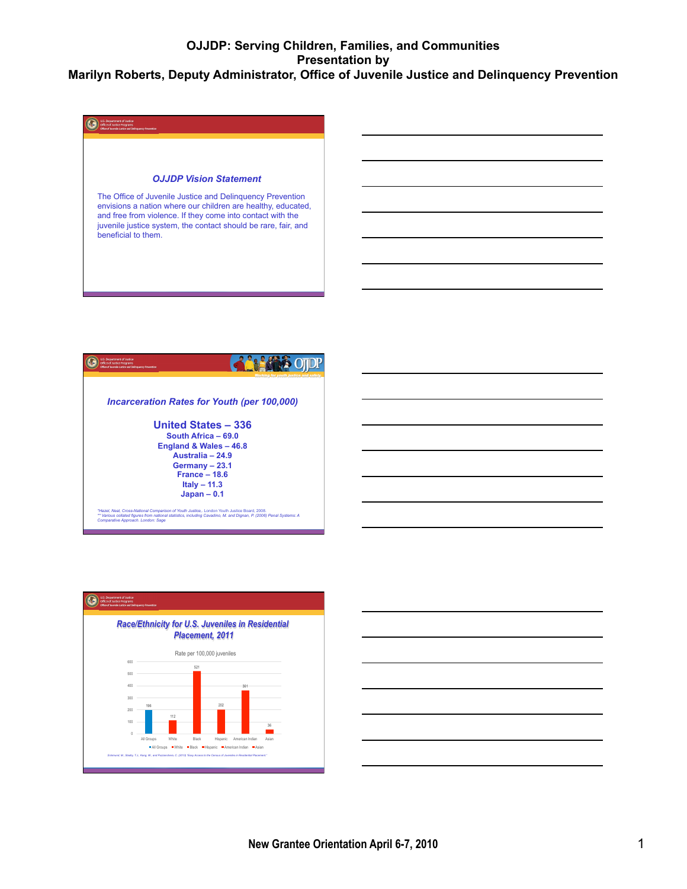





| the control of the control of the control of the control of the control of the control of the control of the control of the control of the control of the control of the control of the control of the control of the control |  |        |
|-------------------------------------------------------------------------------------------------------------------------------------------------------------------------------------------------------------------------------|--|--------|
|                                                                                                                                                                                                                               |  |        |
| the contract of the contract of the contract of the contract of the contract of the contract of the contract of                                                                                                               |  |        |
|                                                                                                                                                                                                                               |  |        |
| the contract of the contract of the contract of the contract of the contract of the contract of the contract of                                                                                                               |  | ______ |
|                                                                                                                                                                                                                               |  |        |
|                                                                                                                                                                                                                               |  |        |
|                                                                                                                                                                                                                               |  |        |
|                                                                                                                                                                                                                               |  |        |
|                                                                                                                                                                                                                               |  |        |
|                                                                                                                                                                                                                               |  |        |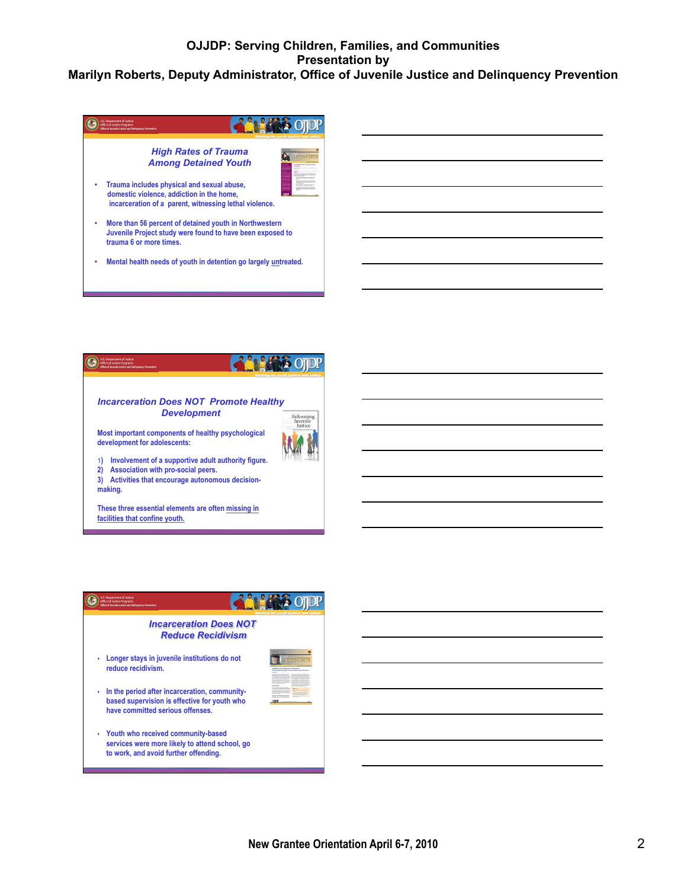



**15 FAX OTOP** Q Working for youth justice and safety *Incarceration Does NOT Reduce Recidivism*  s **Longer stays in juvenile institutions do not reduce recidivism.**   $\cdot$  In the period after incarceration, community**based supervision is effective for youth who have committed serious offenses.**  s **Youth who received community-based services were more likely to attend school, go to work, and avoid further offending.**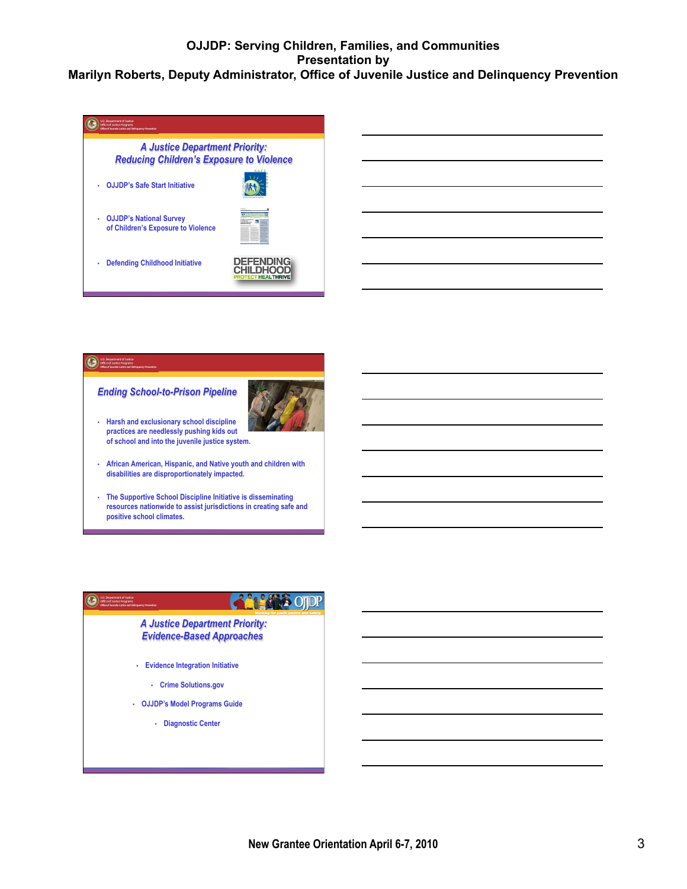



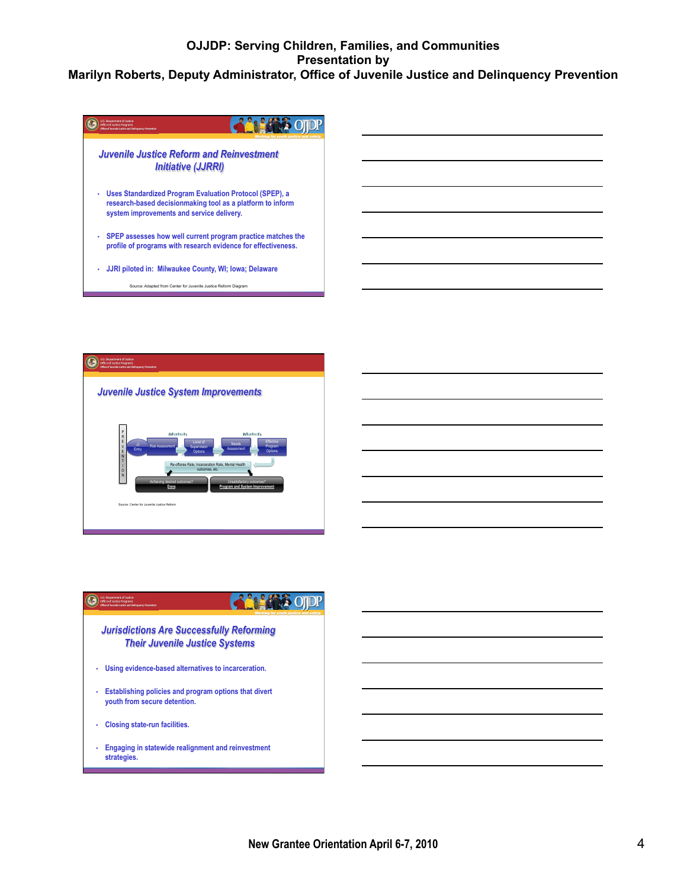# **OJJDP: Serving Children, Families, and Communities Presentation by**

#### **Marilyn Roberts, Deputy Administrator, Office of Juvenile Justice and Delinquency Prevention**



![](_page_3_Picture_3.jpeg)

![](_page_3_Picture_4.jpeg)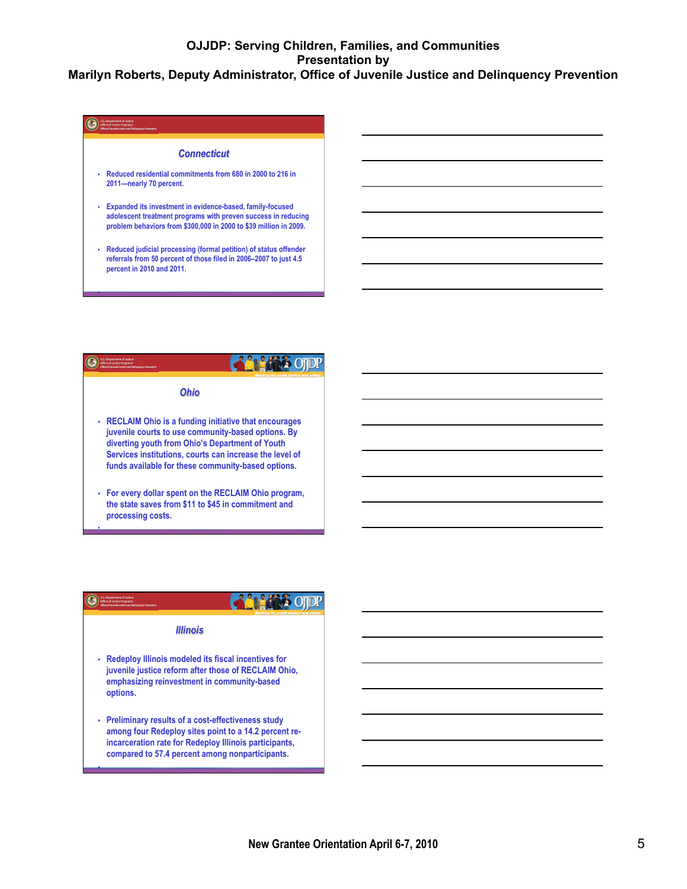## U.S. Department of Justice<br>Office of Austice Programs *Connecticut*  s **Reduced residential commitments from 680 in 2000 to 216 in 2011—nearly 70 percent.**  s **Expanded its investment in evidence-based, family-focused adolescent treatment programs with proven success in reducing problem behaviors from \$300,000 in 2000 to \$39 million in 2009.**  s **Reduced judicial processing (formal petition) of status offender**

s

**percent in 2010 and 2011.** 

**referrals from 50 percent of those filed in 2006–2007 to just 4.5** 

![](_page_4_Picture_3.jpeg)

![](_page_4_Picture_4.jpeg)